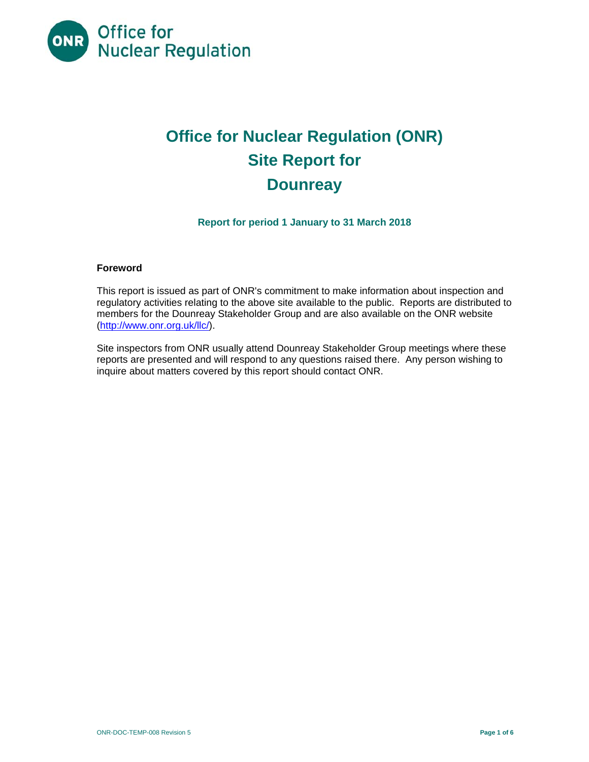

# **Office for Nuclear Regulation (ONR) Site Report for Dounreay**

**Report for period 1 January to 31 March 2018** 

### **Foreword**

This report is issued as part of ONR's commitment to make information about inspection and regulatory activities relating to the above site available to the public. Reports are distributed to members for the Dounreay Stakeholder Group and are also available on the ONR website (http://www.onr.org.uk/llc/).

Site inspectors from ONR usually attend Dounreay Stakeholder Group meetings where these reports are presented and will respond to any questions raised there. Any person wishing to inquire about matters covered by this report should contact ONR.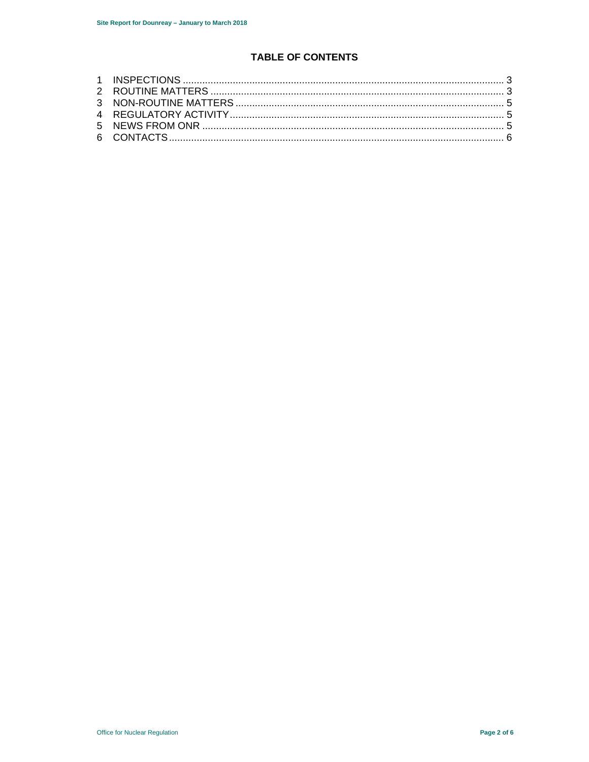# **TABLE OF CONTENTS**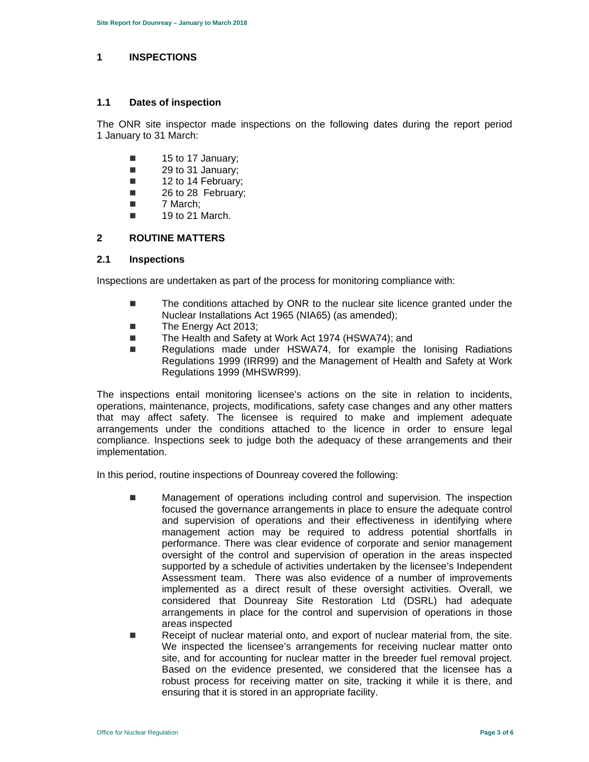#### **1 INSPECTIONS**

#### **1.1 Dates of inspection**

The ONR site inspector made inspections on the following dates during the report period 1 January to 31 March:

- $\blacksquare$  15 to 17 January;
- 29 to 31 January;
- 12 to 14 February;
- 26 to 28 February:
- 7 March:
- $\blacksquare$  19 to 21 March.

## **2 ROUTINE MATTERS**

### **2.1 Inspections**

Inspections are undertaken as part of the process for monitoring compliance with:

- The conditions attached by ONR to the nuclear site licence granted under the Nuclear Installations Act 1965 (NIA65) (as amended);
- The Energy Act 2013;
- The Health and Safety at Work Act 1974 (HSWA74); and
- Regulations made under HSWA74, for example the lonising Radiations Regulations 1999 (IRR99) and the Management of Health and Safety at Work Regulations 1999 (MHSWR99).

The inspections entail monitoring licensee's actions on the site in relation to incidents, operations, maintenance, projects, modifications, safety case changes and any other matters that may affect safety. The licensee is required to make and implement adequate arrangements under the conditions attached to the licence in order to ensure legal compliance. Inspections seek to judge both the adequacy of these arrangements and their implementation.

In this period, routine inspections of Dounreay covered the following:

- **Management of operations including control and supervision. The inspection** focused the governance arrangements in place to ensure the adequate control and supervision of operations and their effectiveness in identifying where management action may be required to address potential shortfalls in performance. There was clear evidence of corporate and senior management oversight of the control and supervision of operation in the areas inspected supported by a schedule of activities undertaken by the licensee's Independent Assessment team. There was also evidence of a number of improvements implemented as a direct result of these oversight activities. Overall, we considered that Dounreay Site Restoration Ltd (DSRL) had adequate arrangements in place for the control and supervision of operations in those areas inspected
- Receipt of nuclear material onto, and export of nuclear material from, the site. We inspected the licensee's arrangements for receiving nuclear matter onto site, and for accounting for nuclear matter in the breeder fuel removal project. Based on the evidence presented, we considered that the licensee has a robust process for receiving matter on site, tracking it while it is there, and ensuring that it is stored in an appropriate facility.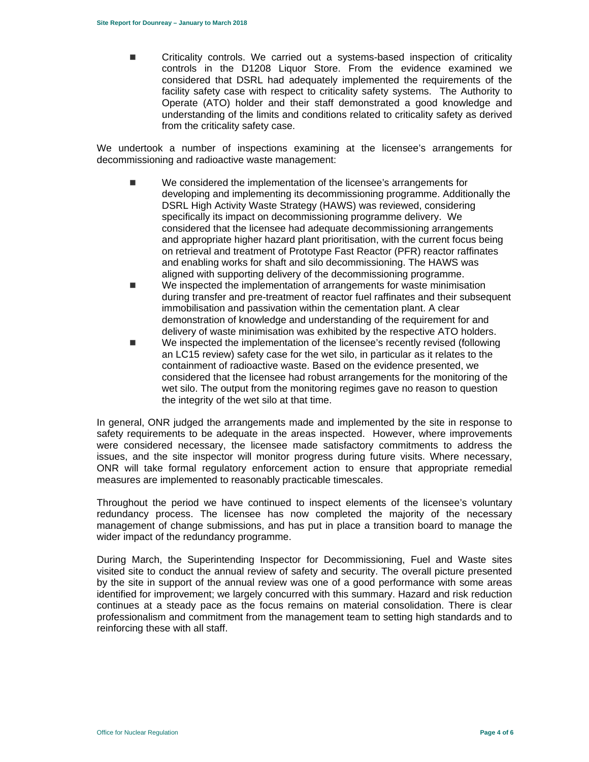Criticality controls. We carried out a systems-based inspection of criticality controls in the D1208 Liquor Store. From the evidence examined we considered that DSRL had adequately implemented the requirements of the facility safety case with respect to criticality safety systems. The Authority to Operate (ATO) holder and their staff demonstrated a good knowledge and understanding of the limits and conditions related to criticality safety as derived from the criticality safety case.

We undertook a number of inspections examining at the licensee's arrangements for decommissioning and radioactive waste management:

- We considered the implementation of the licensee's arrangements for developing and implementing its decommissioning programme. Additionally the DSRL High Activity Waste Strategy (HAWS) was reviewed, considering specifically its impact on decommissioning programme delivery. We considered that the licensee had adequate decommissioning arrangements and appropriate higher hazard plant prioritisation, with the current focus being on retrieval and treatment of Prototype Fast Reactor (PFR) reactor raffinates and enabling works for shaft and silo decommissioning. The HAWS was aligned with supporting delivery of the decommissioning programme.
- **We inspected the implementation of arrangements for waste minimisation** during transfer and pre-treatment of reactor fuel raffinates and their subsequent immobilisation and passivation within the cementation plant. A clear demonstration of knowledge and understanding of the requirement for and delivery of waste minimisation was exhibited by the respective ATO holders.
- We inspected the implementation of the licensee's recently revised (following an LC15 review) safety case for the wet silo, in particular as it relates to the containment of radioactive waste. Based on the evidence presented, we considered that the licensee had robust arrangements for the monitoring of the wet silo. The output from the monitoring regimes gave no reason to question the integrity of the wet silo at that time.

In general, ONR judged the arrangements made and implemented by the site in response to safety requirements to be adequate in the areas inspected. However, where improvements were considered necessary, the licensee made satisfactory commitments to address the issues, and the site inspector will monitor progress during future visits. Where necessary, ONR will take formal regulatory enforcement action to ensure that appropriate remedial measures are implemented to reasonably practicable timescales.

Throughout the period we have continued to inspect elements of the licensee's voluntary redundancy process. The licensee has now completed the majority of the necessary management of change submissions, and has put in place a transition board to manage the wider impact of the redundancy programme.

During March, the Superintending Inspector for Decommissioning, Fuel and Waste sites visited site to conduct the annual review of safety and security. The overall picture presented by the site in support of the annual review was one of a good performance with some areas identified for improvement; we largely concurred with this summary. Hazard and risk reduction continues at a steady pace as the focus remains on material consolidation. There is clear professionalism and commitment from the management team to setting high standards and to reinforcing these with all staff.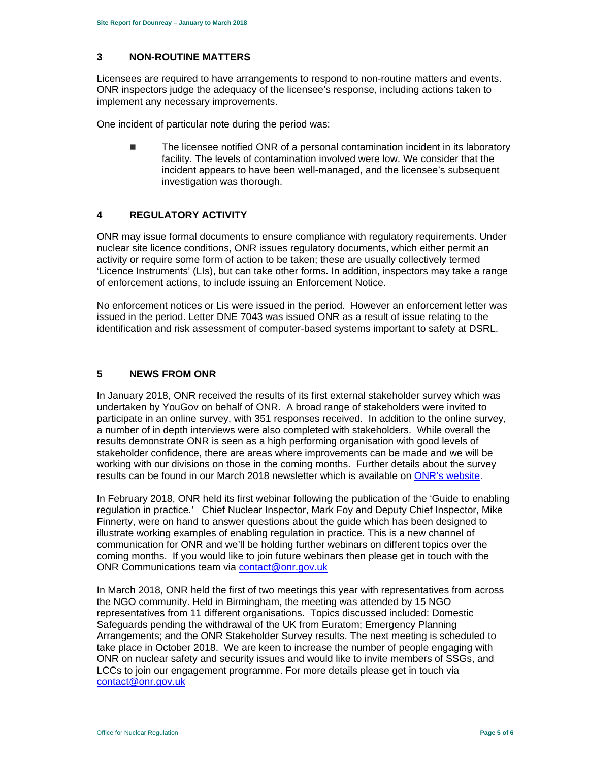### **3 NON-ROUTINE MATTERS**

Licensees are required to have arrangements to respond to non-routine matters and events. ONR inspectors judge the adequacy of the licensee's response, including actions taken to implement any necessary improvements.

One incident of particular note during the period was:

■ The licensee notified ONR of a personal contamination incident in its laboratory facility. The levels of contamination involved were low. We consider that the incident appears to have been well-managed, and the licensee's subsequent investigation was thorough.

### **4 REGULATORY ACTIVITY**

ONR may issue formal documents to ensure compliance with regulatory requirements. Under nuclear site licence conditions, ONR issues regulatory documents, which either permit an activity or require some form of action to be taken; these are usually collectively termed 'Licence Instruments' (LIs), but can take other forms. In addition, inspectors may take a range of enforcement actions, to include issuing an Enforcement Notice.

No enforcement notices or Lis were issued in the period. However an enforcement letter was issued in the period. Letter DNE 7043 was issued ONR as a result of issue relating to the identification and risk assessment of computer-based systems important to safety at DSRL.

## **5 NEWS FROM ONR**

In January 2018, ONR received the results of its first external stakeholder survey which was undertaken by YouGov on behalf of ONR. A broad range of stakeholders were invited to participate in an online survey, with 351 responses received. In addition to the online survey, a number of in depth interviews were also completed with stakeholders. While overall the results demonstrate ONR is seen as a high performing organisation with good levels of stakeholder confidence, there are areas where improvements can be made and we will be working with our divisions on those in the coming months. Further details about the survey results can be found in our March 2018 newsletter which is available on ONR's website.

In February 2018, ONR held its first webinar following the publication of the 'Guide to enabling regulation in practice.' Chief Nuclear Inspector, Mark Foy and Deputy Chief Inspector, Mike Finnerty, were on hand to answer questions about the guide which has been designed to illustrate working examples of enabling regulation in practice. This is a new channel of communication for ONR and we'll be holding further webinars on different topics over the coming months. If you would like to join future webinars then please get in touch with the ONR Communications team via contact@onr.gov.uk

In March 2018, ONR held the first of two meetings this year with representatives from across the NGO community. Held in Birmingham, the meeting was attended by 15 NGO representatives from 11 different organisations. Topics discussed included: Domestic Safeguards pending the withdrawal of the UK from Euratom; Emergency Planning Arrangements; and the ONR Stakeholder Survey results. The next meeting is scheduled to take place in October 2018. We are keen to increase the number of people engaging with ONR on nuclear safety and security issues and would like to invite members of SSGs, and LCCs to join our engagement programme. For more details please get in touch via contact@onr.gov.uk